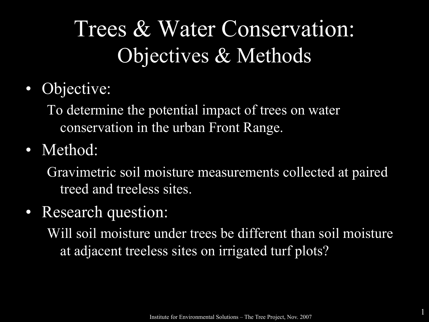# Trees & Water Conservation: Objectives & Methods

• Objective:

To determine the potential impact of trees on water conservation in the urban Front Range.

• Method:

Gravimetric soil moisture measurements collected at paired treed and treeless sites.

• Research question:

Will soil moisture under trees be different than soil moisture at adjacent treeless sites on irrigated turf plots?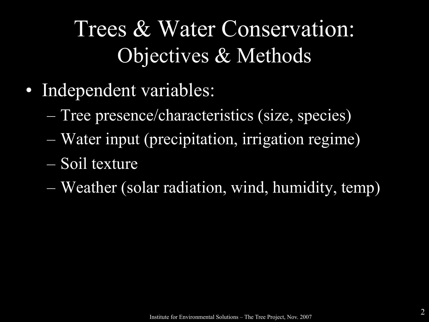# Trees & Water Conservation: Objectives & Methods

- Independent variables:
	- Tree presence/characteristics (size, species)
	- Water input (precipitation, irrigation regime)
	- Soil texture
	- Weather (solar radiation, wind, humidity, temp)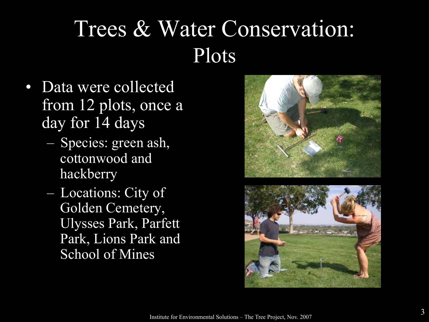#### Trees & Water Conservation: Plots

- Data were collected from 12 plots, once a day for 14 days
	- Species: green ash, cottonwood and hackberry
	- Locations: City of Golden Cemetery, Ulysses Park, Parfett Park, Lions Park and School of Mines



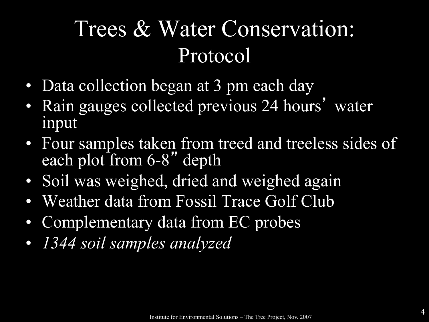#### Trees & Water Conservation: Protocol

- Data collection began at 3 pm each day
- Rain gauges collected previous 24 hours' water input
- Four samples taken from treed and treeless sides of each plot from 6-8" depth
- Soil was weighed, dried and weighed again
- Weather data from Fossil Trace Golf Club
- Complementary data from EC probes
- *1344 soil samples analyzed*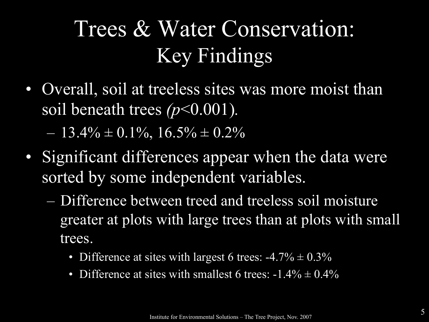• Overall, soil at treeless sites was more moist than soil beneath trees *(p*<0.001)*.*

 $-13.4\% \pm 0.1\%$ ,  $16.5\% \pm 0.2\%$ 

- Significant differences appear when the data were sorted by some independent variables.
	- Difference between treed and treeless soil moisture greater at plots with large trees than at plots with small trees.
		- Difference at sites with largest 6 trees:  $-4.7\% \pm 0.3\%$
		- Difference at sites with smallest 6 trees:  $-1.4\% \pm 0.4\%$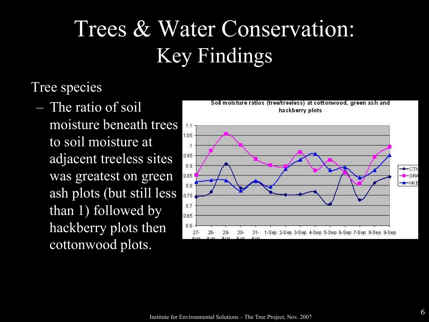Tree species

– The ratio of soil moisture beneath trees to soil moisture at adjacent treeless sites was greatest on green ash plots (but still less than 1) followed by hackberry plots then cottonwood plots.

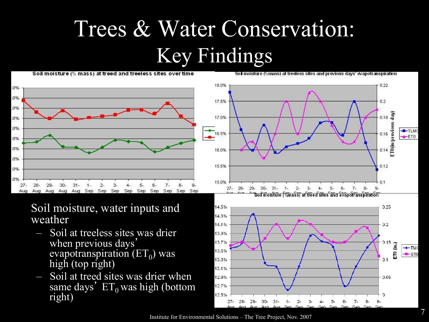Soil moisture (% mass) at treed and treeless sites over time

Soil moisture (%mass) at treeless sites and previous days' evapotranspiration



Soil moisture, water inputs and weather

- Soil at treeless sites was drier when previous days' evapotranspiration  $(ET_0)$  was high (top right)
- Soil at treed sites was drier when same days'  $ET_0$  was high (bottom right)



Institute for Environmental Solutions – The Tree Project, Nov. 2007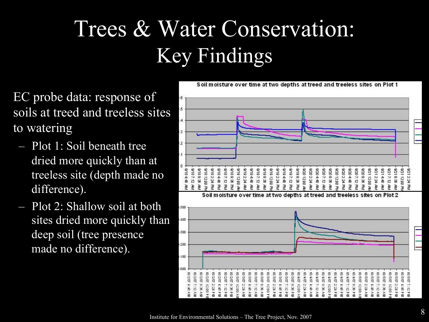EC probe data: response of soils at treed and treeless sites to watering

- Plot 1: Soil beneath tree dried more quickly than at treeless site (depth made no difference).
- Plot 2: Shallow soil at both sites dried more quickly than deep soil (tree presence made no difference).

 $\overline{A}$  $\overline{3}$  $\overline{2}$ 9217:12 8/204:48 8212.24 0187:12 8/189:38 8/182:24 9/184:48 8/187:12 8018938 9/192:24 AM 9/194:48 9/197:12 9/197:12 80.000 9/212:24 AV 9214:48 8019.38 9/211200 PL 9/184:48 9/18 12:00 Pt 9/19 12:00 A 8019938 9/19/12/00 PM 8192:24 8194:48 80.69.38 **A201200 A** 9/20 2:24 AV 207:12 820933 49 00 21 02 PH **A202:24** 9204:48 0207:12 8/21 12:00 A Ã 끟 끻 Ã 곷 귖 귖 꾿 ğ 끟 공 习 ¥ 꾿 曼 曼 F ₹ ğ 공 ₹

Soil moisture over time at two depths at treed and treeless sites on Plot 1

Soil moisture over time at two depths at treed and treeless

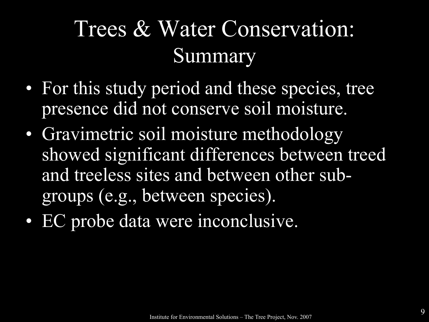#### Trees & Water Conservation: Summary

- For this study period and these species, tree presence did not conserve soil moisture.
- Gravimetric soil moisture methodology showed significant differences between treed and treeless sites and between other subgroups (e.g., between species).
- EC probe data were inconclusive.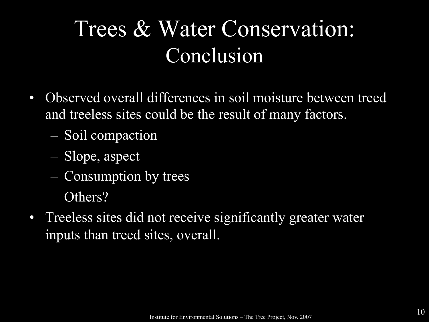#### Trees & Water Conservation: Conclusion

- Observed overall differences in soil moisture between treed and treeless sites could be the result of many factors.
	- Soil compaction
	- Slope, aspect
	- Consumption by trees
	- Others?
- Treeless sites did not receive significantly greater water inputs than treed sites, overall.